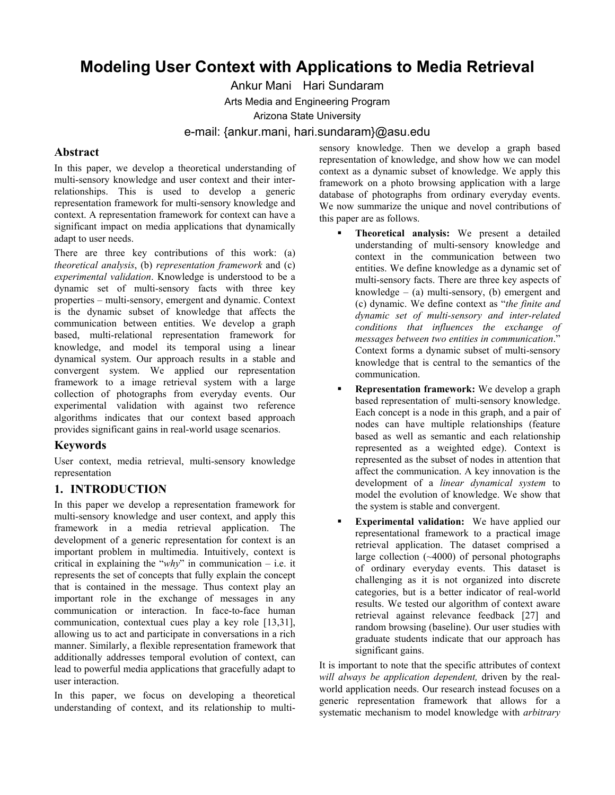# **Modeling User Context with Applications to Media Retrieval**

Ankur Mani Hari Sundaram Arts Media and Engineering Program Arizona State University

# e-mail: {ankur.mani, hari.sundaram}@asu.edu

# **Abstract**

In this paper, we develop a theoretical understanding of multi-sensory knowledge and user context and their interrelationships. This is used to develop a generic representation framework for multi-sensory knowledge and context. A representation framework for context can have a significant impact on media applications that dynamically adapt to user needs.

There are three key contributions of this work: (a) *theoretical analysis*, (b) *representation framework* and (c) *experimental validation*. Knowledge is understood to be a dynamic set of multi-sensory facts with three key properties – multi-sensory, emergent and dynamic. Context is the dynamic subset of knowledge that affects the communication between entities. We develop a graph based, multi-relational representation framework for knowledge, and model its temporal using a linear dynamical system. Our approach results in a stable and convergent system. We applied our representation framework to a image retrieval system with a large collection of photographs from everyday events. Our experimental validation with against two reference algorithms indicates that our context based approach provides significant gains in real-world usage scenarios.

### **Keywords**

User context, media retrieval, multi-sensory knowledge representation

# **1. INTRODUCTION**

In this paper we develop a representation framework for multi-sensory knowledge and user context, and apply this framework in a media retrieval application. The development of a generic representation for context is an important problem in multimedia. Intuitively, context is critical in explaining the "*why*" in communication – i.e. it represents the set of concepts that fully explain the concept that is contained in the message. Thus context play an important role in the exchange of messages in any communication or interaction. In face-to-face human communication, contextual cues play a key role [13,31], allowing us to act and participate in conversations in a rich manner. Similarly, a flexible representation framework that additionally addresses temporal evolution of context, can lead to powerful media applications that gracefully adapt to user interaction.

In this paper, we focus on developing a theoretical understanding of context, and its relationship to multisensory knowledge. Then we develop a graph based representation of knowledge, and show how we can model context as a dynamic subset of knowledge. We apply this framework on a photo browsing application with a large database of photographs from ordinary everyday events. We now summarize the unique and novel contributions of this paper are as follows.

- **Theoretical analysis:** We present a detailed understanding of multi-sensory knowledge and context in the communication between two entities. We define knowledge as a dynamic set of multi-sensory facts. There are three key aspects of knowledge – (a) multi-sensory, (b) emergent and (c) dynamic. We define context as "*the finite and dynamic set of multi-sensory and inter-related conditions that influences the exchange of messages between two entities in communication*." Context forms a dynamic subset of multi-sensory knowledge that is central to the semantics of the communication.
- **Representation framework:** We develop a graph based representation of multi-sensory knowledge. Each concept is a node in this graph, and a pair of nodes can have multiple relationships (feature based as well as semantic and each relationship represented as a weighted edge). Context is represented as the subset of nodes in attention that affect the communication. A key innovation is the development of a *linear dynamical system* to model the evolution of knowledge. We show that the system is stable and convergent.
- **Experimental validation:** We have applied our representational framework to a practical image retrieval application. The dataset comprised a large collection (~4000) of personal photographs of ordinary everyday events. This dataset is challenging as it is not organized into discrete categories, but is a better indicator of real-world results. We tested our algorithm of context aware retrieval against relevance feedback [27] and random browsing (baseline). Our user studies with graduate students indicate that our approach has significant gains.

It is important to note that the specific attributes of context *will always be application dependent,* driven by the realworld application needs. Our research instead focuses on a generic representation framework that allows for a systematic mechanism to model knowledge with *arbitrary*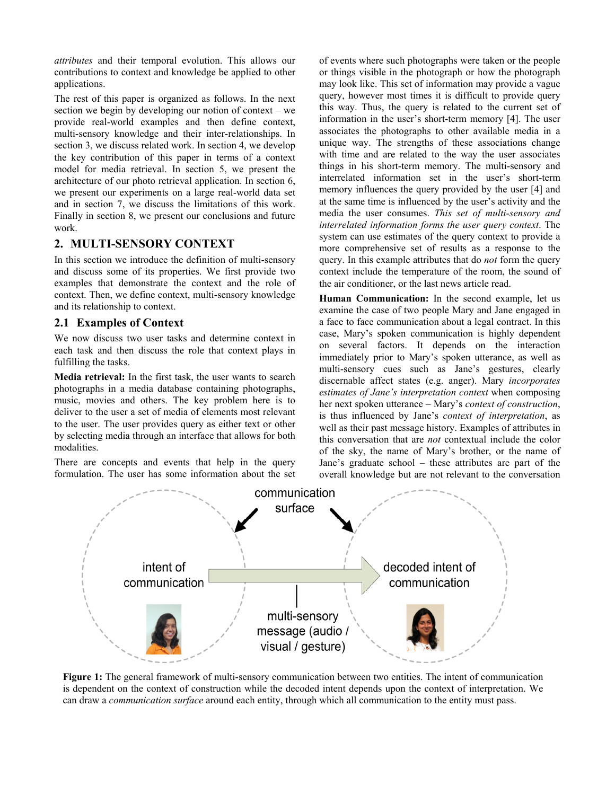*attributes* and their temporal evolution. This allows our contributions to context and knowledge be applied to other applications.

The rest of this paper is organized as follows. In the next section we begin by developing our notion of context – we provide real-world examples and then define context, multi-sensory knowledge and their inter-relationships. In section 3, we discuss related work. In section 4, we develop the key contribution of this paper in terms of a context model for media retrieval. In section 5, we present the architecture of our photo retrieval application. In section 6, we present our experiments on a large real-world data set and in section 7, we discuss the limitations of this work. Finally in section 8, we present our conclusions and future work.

# **2. MULTI-SENSORY CONTEXT**

In this section we introduce the definition of multi-sensory and discuss some of its properties. We first provide two examples that demonstrate the context and the role of context. Then, we define context, multi-sensory knowledge and its relationship to context.

# **2.1 Examples of Context**

We now discuss two user tasks and determine context in each task and then discuss the role that context plays in fulfilling the tasks.

**Media retrieval:** In the first task, the user wants to search photographs in a media database containing photographs, music, movies and others. The key problem here is to deliver to the user a set of media of elements most relevant to the user. The user provides query as either text or other by selecting media through an interface that allows for both modalities.

There are concepts and events that help in the query formulation. The user has some information about the set of events where such photographs were taken or the people or things visible in the photograph or how the photograph may look like. This set of information may provide a vague query, however most times it is difficult to provide query this way. Thus, the query is related to the current set of information in the user's short-term memory [4]. The user associates the photographs to other available media in a unique way. The strengths of these associations change with time and are related to the way the user associates things in his short-term memory. The multi-sensory and interrelated information set in the user's short-term memory influences the query provided by the user [4] and at the same time is influenced by the user's activity and the media the user consumes. *This set of multi-sensory and interrelated information forms the user query context*. The system can use estimates of the query context to provide a more comprehensive set of results as a response to the query. In this example attributes that do *not* form the query context include the temperature of the room, the sound of the air conditioner, or the last news article read.

**Human Communication:** In the second example, let us examine the case of two people Mary and Jane engaged in a face to face communication about a legal contract. In this case, Mary's spoken communication is highly dependent on several factors. It depends on the interaction immediately prior to Mary's spoken utterance, as well as multi-sensory cues such as Jane's gestures, clearly discernable affect states (e.g. anger). Mary *incorporates estimates of Jane's interpretation context* when composing her next spoken utterance – Mary's *context of construction*, is thus influenced by Jane's *context of interpretation*, as well as their past message history. Examples of attributes in this conversation that are *not* contextual include the color of the sky, the name of Mary's brother, or the name of Jane's graduate school – these attributes are part of the overall knowledge but are not relevant to the conversation



**Figure 1:** The general framework of multi-sensory communication between two entities. The intent of communication is dependent on the context of construction while the decoded intent depends upon the context of interpretation. We can draw a *communication surface* around each entity, through which all communication to the entity must pass.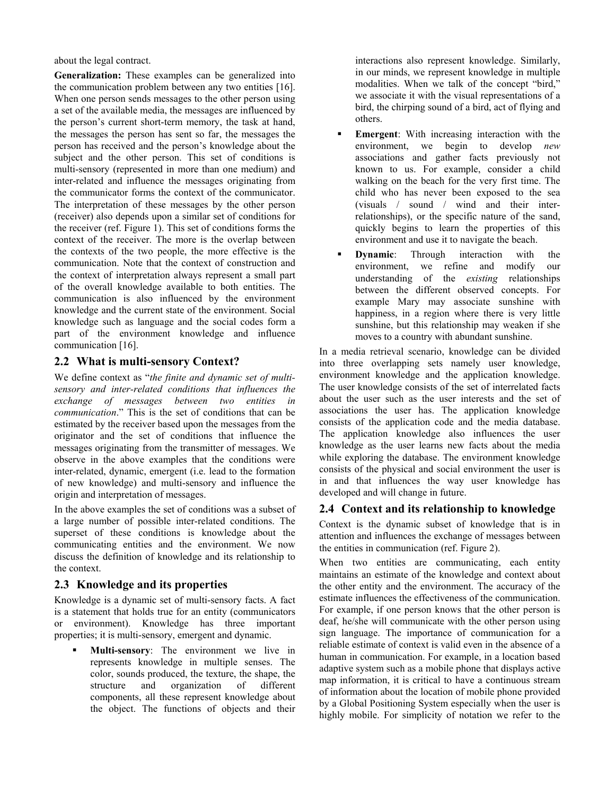about the legal contract.

**Generalization:** These examples can be generalized into the communication problem between any two entities [16]. When one person sends messages to the other person using a set of the available media, the messages are influenced by the person's current short-term memory, the task at hand, the messages the person has sent so far, the messages the person has received and the person's knowledge about the subject and the other person. This set of conditions is multi-sensory (represented in more than one medium) and inter-related and influence the messages originating from the communicator forms the context of the communicator. The interpretation of these messages by the other person (receiver) also depends upon a similar set of conditions for the receiver (ref. Figure 1). This set of conditions forms the context of the receiver. The more is the overlap between the contexts of the two people, the more effective is the communication. Note that the context of construction and the context of interpretation always represent a small part of the overall knowledge available to both entities. The communication is also influenced by the environment knowledge and the current state of the environment. Social knowledge such as language and the social codes form a part of the environment knowledge and influence communication [16].

# **2.2 What is multi-sensory Context?**

We define context as "*the finite and dynamic set of multisensory and inter-related conditions that influences the exchange of messages between two entities in communication*." This is the set of conditions that can be estimated by the receiver based upon the messages from the originator and the set of conditions that influence the messages originating from the transmitter of messages. We observe in the above examples that the conditions were inter-related, dynamic, emergent (i.e. lead to the formation of new knowledge) and multi-sensory and influence the origin and interpretation of messages.

In the above examples the set of conditions was a subset of a large number of possible inter-related conditions. The superset of these conditions is knowledge about the communicating entities and the environment. We now discuss the definition of knowledge and its relationship to the context.

# **2.3 Knowledge and its properties**

Knowledge is a dynamic set of multi-sensory facts. A fact is a statement that holds true for an entity (communicators or environment). Knowledge has three important properties; it is multi-sensory, emergent and dynamic.

 **Multi-sensory**: The environment we live in represents knowledge in multiple senses. The color, sounds produced, the texture, the shape, the structure and organization of different components, all these represent knowledge about the object. The functions of objects and their

interactions also represent knowledge. Similarly, in our minds, we represent knowledge in multiple modalities. When we talk of the concept "bird," we associate it with the visual representations of a bird, the chirping sound of a bird, act of flying and others.

- **Emergent**: With increasing interaction with the environment, we begin to develop *new* associations and gather facts previously not known to us. For example, consider a child walking on the beach for the very first time. The child who has never been exposed to the sea (visuals / sound / wind and their interrelationships), or the specific nature of the sand, quickly begins to learn the properties of this environment and use it to navigate the beach.
- **Dynamic**: Through interaction with the environment, we refine and modify our understanding of the *existing* relationships between the different observed concepts. For example Mary may associate sunshine with happiness, in a region where there is very little sunshine, but this relationship may weaken if she moves to a country with abundant sunshine.

In a media retrieval scenario, knowledge can be divided into three overlapping sets namely user knowledge, environment knowledge and the application knowledge. The user knowledge consists of the set of interrelated facts about the user such as the user interests and the set of associations the user has. The application knowledge consists of the application code and the media database. The application knowledge also influences the user knowledge as the user learns new facts about the media while exploring the database. The environment knowledge consists of the physical and social environment the user is in and that influences the way user knowledge has developed and will change in future.

# **2.4 Context and its relationship to knowledge**

Context is the dynamic subset of knowledge that is in attention and influences the exchange of messages between the entities in communication (ref. Figure 2).

When two entities are communicating, each entity maintains an estimate of the knowledge and context about the other entity and the environment. The accuracy of the estimate influences the effectiveness of the communication. For example, if one person knows that the other person is deaf, he/she will communicate with the other person using sign language. The importance of communication for a reliable estimate of context is valid even in the absence of a human in communication. For example, in a location based adaptive system such as a mobile phone that displays active map information, it is critical to have a continuous stream of information about the location of mobile phone provided by a Global Positioning System especially when the user is highly mobile. For simplicity of notation we refer to the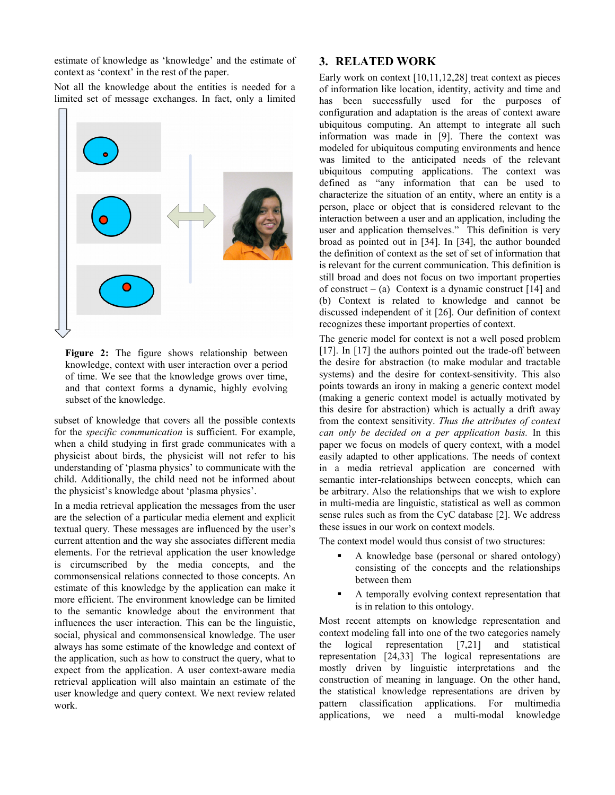estimate of knowledge as 'knowledge' and the estimate of context as 'context' in the rest of the paper.

Not all the knowledge about the entities is needed for a limited set of message exchanges. In fact, only a limited



**Figure 2:** The figure shows relationship between knowledge, context with user interaction over a period of time. We see that the knowledge grows over time, and that context forms a dynamic, highly evolving subset of the knowledge.

subset of knowledge that covers all the possible contexts for the *specific communication* is sufficient. For example, when a child studying in first grade communicates with a physicist about birds, the physicist will not refer to his understanding of 'plasma physics' to communicate with the child. Additionally, the child need not be informed about the physicist's knowledge about 'plasma physics'.

In a media retrieval application the messages from the user are the selection of a particular media element and explicit textual query. These messages are influenced by the user's current attention and the way she associates different media elements. For the retrieval application the user knowledge is circumscribed by the media concepts, and the commonsensical relations connected to those concepts. An estimate of this knowledge by the application can make it more efficient. The environment knowledge can be limited to the semantic knowledge about the environment that influences the user interaction. This can be the linguistic, social, physical and commonsensical knowledge. The user always has some estimate of the knowledge and context of the application, such as how to construct the query, what to expect from the application. A user context-aware media retrieval application will also maintain an estimate of the user knowledge and query context. We next review related work.

### **3. RELATED WORK**

Early work on context [10,11,12,28] treat context as pieces of information like location, identity, activity and time and has been successfully used for the purposes of configuration and adaptation is the areas of context aware ubiquitous computing. An attempt to integrate all such information was made in [9]. There the context was modeled for ubiquitous computing environments and hence was limited to the anticipated needs of the relevant ubiquitous computing applications. The context was defined as "any information that can be used to characterize the situation of an entity, where an entity is a person, place or object that is considered relevant to the interaction between a user and an application, including the user and application themselves." This definition is very broad as pointed out in [34]. In [34], the author bounded the definition of context as the set of set of information that is relevant for the current communication. This definition is still broad and does not focus on two important properties of construct – (a) Context is a dynamic construct  $[14]$  and (b) Context is related to knowledge and cannot be discussed independent of it [26]. Our definition of context recognizes these important properties of context.

The generic model for context is not a well posed problem [17]. In [17] the authors pointed out the trade-off between the desire for abstraction (to make modular and tractable systems) and the desire for context-sensitivity. This also points towards an irony in making a generic context model (making a generic context model is actually motivated by this desire for abstraction) which is actually a drift away from the context sensitivity. *Thus the attributes of context can only be decided on a per application basis.* In this paper we focus on models of query context, with a model easily adapted to other applications. The needs of context in a media retrieval application are concerned with semantic inter-relationships between concepts, which can be arbitrary. Also the relationships that we wish to explore in multi-media are linguistic, statistical as well as common sense rules such as from the CyC database [2]. We address these issues in our work on context models.

The context model would thus consist of two structures:

- A knowledge base (personal or shared ontology) consisting of the concepts and the relationships between them
- A temporally evolving context representation that is in relation to this ontology.

Most recent attempts on knowledge representation and context modeling fall into one of the two categories namely the logical representation [7,21] and statistical representation [24,33] The logical representations are mostly driven by linguistic interpretations and the construction of meaning in language. On the other hand, the statistical knowledge representations are driven by pattern classification applications. For multimedia applications, we need a multi-modal knowledge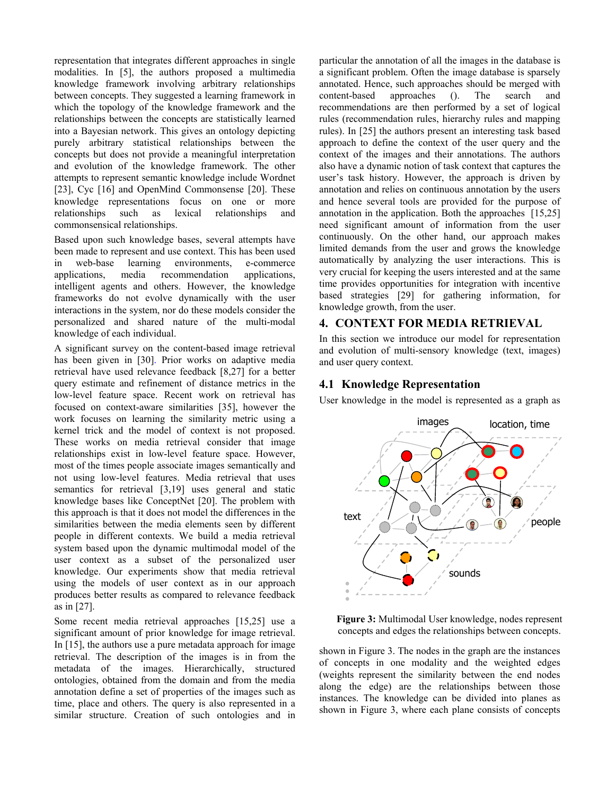representation that integrates different approaches in single modalities. In [5], the authors proposed a multimedia knowledge framework involving arbitrary relationships between concepts. They suggested a learning framework in which the topology of the knowledge framework and the relationships between the concepts are statistically learned into a Bayesian network. This gives an ontology depicting purely arbitrary statistical relationships between the concepts but does not provide a meaningful interpretation and evolution of the knowledge framework. The other attempts to represent semantic knowledge include Wordnet [23], Cyc [16] and OpenMind Commonsense [20]. These knowledge representations focus on one or more relationships such as lexical relationships and commonsensical relationships.

Based upon such knowledge bases, several attempts have been made to represent and use context. This has been used in web-base learning environments, e-commerce applications, media recommendation applications, intelligent agents and others. However, the knowledge frameworks do not evolve dynamically with the user interactions in the system, nor do these models consider the personalized and shared nature of the multi-modal knowledge of each individual.

A significant survey on the content-based image retrieval has been given in [30]. Prior works on adaptive media retrieval have used relevance feedback [8,27] for a better query estimate and refinement of distance metrics in the low-level feature space. Recent work on retrieval has focused on context-aware similarities [35], however the work focuses on learning the similarity metric using a kernel trick and the model of context is not proposed. These works on media retrieval consider that image relationships exist in low-level feature space. However, most of the times people associate images semantically and not using low-level features. Media retrieval that uses semantics for retrieval [3,19] uses general and static knowledge bases like ConceptNet [20]. The problem with this approach is that it does not model the differences in the similarities between the media elements seen by different people in different contexts. We build a media retrieval system based upon the dynamic multimodal model of the user context as a subset of the personalized user knowledge. Our experiments show that media retrieval using the models of user context as in our approach produces better results as compared to relevance feedback as in [27].

Some recent media retrieval approaches [15,25] use a significant amount of prior knowledge for image retrieval. In [15], the authors use a pure metadata approach for image retrieval. The description of the images is in from the metadata of the images. Hierarchically, structured ontologies, obtained from the domain and from the media annotation define a set of properties of the images such as time, place and others. The query is also represented in a similar structure. Creation of such ontologies and in

particular the annotation of all the images in the database is a significant problem. Often the image database is sparsely annotated. Hence, such approaches should be merged with content-based approaches (). The search and recommendations are then performed by a set of logical rules (recommendation rules, hierarchy rules and mapping rules). In [25] the authors present an interesting task based approach to define the context of the user query and the context of the images and their annotations. The authors also have a dynamic notion of task context that captures the user's task history. However, the approach is driven by annotation and relies on continuous annotation by the users and hence several tools are provided for the purpose of annotation in the application. Both the approaches [15,25] need significant amount of information from the user continuously. On the other hand, our approach makes limited demands from the user and grows the knowledge automatically by analyzing the user interactions. This is very crucial for keeping the users interested and at the same time provides opportunities for integration with incentive based strategies [29] for gathering information, for knowledge growth, from the user.

#### **4. CONTEXT FOR MEDIA RETRIEVAL**

In this section we introduce our model for representation and evolution of multi-sensory knowledge (text, images) and user query context.

### **4.1 Knowledge Representation**

User knowledge in the model is represented as a graph as





shown in Figure 3. The nodes in the graph are the instances of concepts in one modality and the weighted edges (weights represent the similarity between the end nodes along the edge) are the relationships between those instances. The knowledge can be divided into planes as shown in Figure 3, where each plane consists of concepts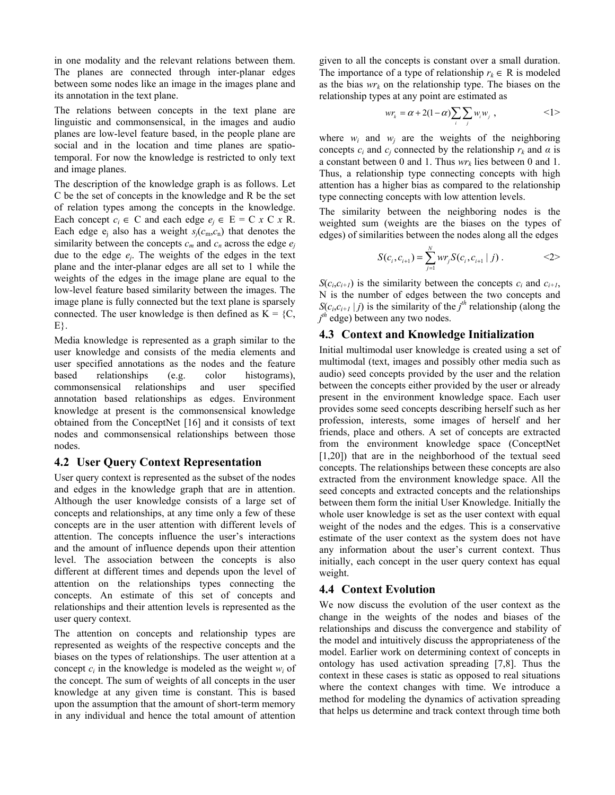in one modality and the relevant relations between them. The planes are connected through inter-planar edges between some nodes like an image in the images plane and its annotation in the text plane.

The relations between concepts in the text plane are linguistic and commonsensical, in the images and audio planes are low-level feature based, in the people plane are social and in the location and time planes are spatiotemporal. For now the knowledge is restricted to only text and image planes.

The description of the knowledge graph is as follows. Let C be the set of concepts in the knowledge and R be the set of relation types among the concepts in the knowledge. Each concept  $c_i \in C$  and each edge  $e_i \in E = C x C x R$ . Each edge  $e_i$  also has a weight  $s_j(c_m,c_n)$  that denotes the similarity between the concepts  $c_m$  and  $c_n$  across the edge  $e_i$ due to the edge *ej*. The weights of the edges in the text plane and the inter-planar edges are all set to 1 while the weights of the edges in the image plane are equal to the low-level feature based similarity between the images. The image plane is fully connected but the text plane is sparsely connected. The user knowledge is then defined as  $K = \{C,$  $E$ .

Media knowledge is represented as a graph similar to the user knowledge and consists of the media elements and user specified annotations as the nodes and the feature based relationships (e.g. color histograms), commonsensical relationships and user specified annotation based relationships as edges. Environment knowledge at present is the commonsensical knowledge obtained from the ConceptNet [16] and it consists of text nodes and commonsensical relationships between those nodes.

#### **4.2 User Query Context Representation**

User query context is represented as the subset of the nodes and edges in the knowledge graph that are in attention. Although the user knowledge consists of a large set of concepts and relationships, at any time only a few of these concepts are in the user attention with different levels of attention. The concepts influence the user's interactions and the amount of influence depends upon their attention level. The association between the concepts is also different at different times and depends upon the level of attention on the relationships types connecting the concepts. An estimate of this set of concepts and relationships and their attention levels is represented as the user query context.

The attention on concepts and relationship types are represented as weights of the respective concepts and the biases on the types of relationships. The user attention at a concept  $c_i$  in the knowledge is modeled as the weight  $w_i$  of the concept. The sum of weights of all concepts in the user knowledge at any given time is constant. This is based upon the assumption that the amount of short-term memory in any individual and hence the total amount of attention

given to all the concepts is constant over a small duration. The importance of a type of relationship  $r_k \in \mathbb{R}$  is modeled as the bias  $wr_k$  on the relationship type. The biases on the relationship types at any point are estimated as

$$
wr_k = \alpha + 2(1 - \alpha) \sum_i \sum_j w_i w_j , \qquad \qquad <1>
$$

where  $w_i$  and  $w_j$  are the weights of the neighboring concepts  $c_i$  and  $c_j$  connected by the relationship  $r_k$  and  $\alpha$  is a constant between 0 and 1. Thus  $wr_k$  lies between 0 and 1. Thus, a relationship type connecting concepts with high attention has a higher bias as compared to the relationship type connecting concepts with low attention levels.

The similarity between the neighboring nodes is the weighted sum (weights are the biases on the types of edges) of similarities between the nodes along all the edges

$$
S(c_i, c_{i+1}) = \sum_{j=1}^N w r_j S(c_i, c_{i+1} | j).
$$
  $\langle 2 \rangle$ 

 $S(c_i, c_{i+1})$  is the similarity between the concepts  $c_i$  and  $c_{i+1}$ , N is the number of edges between the two concepts and  $S(c_i, c_{i+1} | j)$  is the similarity of the *j*<sup>th</sup> relationship (along the *j th* edge) between any two nodes.

### **4.3 Context and Knowledge Initialization**

Initial multimodal user knowledge is created using a set of multimodal (text, images and possibly other media such as audio) seed concepts provided by the user and the relation between the concepts either provided by the user or already present in the environment knowledge space. Each user provides some seed concepts describing herself such as her profession, interests, some images of herself and her friends, place and others. A set of concepts are extracted from the environment knowledge space (ConceptNet [1,20]) that are in the neighborhood of the textual seed concepts. The relationships between these concepts are also extracted from the environment knowledge space. All the seed concepts and extracted concepts and the relationships between them form the initial User Knowledge. Initially the whole user knowledge is set as the user context with equal weight of the nodes and the edges. This is a conservative estimate of the user context as the system does not have any information about the user's current context. Thus initially, each concept in the user query context has equal weight.

### **4.4 Context Evolution**

We now discuss the evolution of the user context as the change in the weights of the nodes and biases of the relationships and discuss the convergence and stability of the model and intuitively discuss the appropriateness of the model. Earlier work on determining context of concepts in ontology has used activation spreading [7,8]. Thus the context in these cases is static as opposed to real situations where the context changes with time. We introduce a method for modeling the dynamics of activation spreading that helps us determine and track context through time both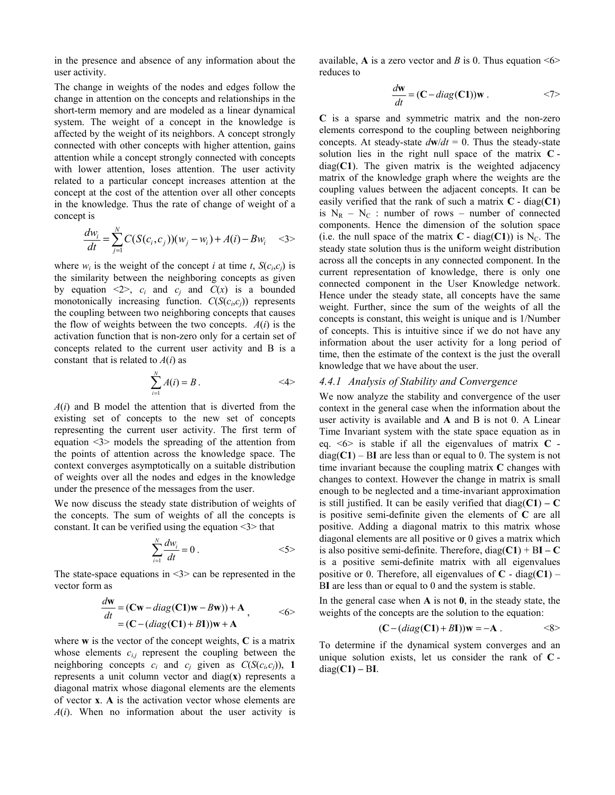in the presence and absence of any information about the user activity.

The change in weights of the nodes and edges follow the change in attention on the concepts and relationships in the short-term memory and are modeled as a linear dynamical system. The weight of a concept in the knowledge is affected by the weight of its neighbors. A concept strongly connected with other concepts with higher attention, gains attention while a concept strongly connected with concepts with lower attention, loses attention. The user activity related to a particular concept increases attention at the concept at the cost of the attention over all other concepts in the knowledge. Thus the rate of change of weight of a concept is

$$
\frac{dw_i}{dt} = \sum_{j=1}^{N} C(S(c_i, c_j))(w_j - w_i) + A(i) - Bw_i \quad \text{(3)}
$$

where  $w_i$  is the weight of the concept *i* at time *t*,  $S(c_i, c_j)$  is the similarity between the neighboring concepts as given by equation  $\langle 2 \rangle$ ,  $c_i$  and  $c_j$  and  $C(x)$  is a bounded monotonically increasing function.  $C(S(c_i, c_j))$  represents the coupling between two neighboring concepts that causes the flow of weights between the two concepts.  $A(i)$  is the activation function that is non-zero only for a certain set of concepts related to the current user activity and B is a constant that is related to  $A(i)$  as

$$
\sum_{i=1}^{N} A(i) = B \,. \tag{4}
$$

*A*(*i*) and B model the attention that is diverted from the existing set of concepts to the new set of concepts representing the current user activity. The first term of equation <3> models the spreading of the attention from the points of attention across the knowledge space. The context converges asymptotically on a suitable distribution of weights over all the nodes and edges in the knowledge under the presence of the messages from the user.

We now discuss the steady state distribution of weights of the concepts. The sum of weights of all the concepts is constant. It can be verified using the equation <3> that

$$
\sum_{i=1}^N \frac{dw_i}{dt} = 0 \ . \tag{5>}
$$

The state-space equations in  $\leq$  2> can be represented in the vector form as

$$
\frac{d\mathbf{w}}{dt} = (\mathbf{C}\mathbf{w} - diag(\mathbf{C}1)\mathbf{w} - B\mathbf{w})) + \mathbf{A}
$$
  
= (\mathbf{C} - (diag(\mathbf{C}1) + B\mathbf{I}))\mathbf{w} + \mathbf{A} (f\mathbf{w})

where **w** is the vector of the concept weights, **C** is a matrix whose elements  $c_{i,j}$  represent the coupling between the neighboring concepts  $c_i$  and  $c_j$  given as  $C(S(c_i,c_j))$ , 1 represents a unit column vector and diag(**x**) represents a diagonal matrix whose diagonal elements are the elements of vector **x**. **A** is the activation vector whose elements are *A*(*i*). When no information about the user activity is available, **A** is a zero vector and *B* is 0. Thus equation  $\leq 6$ reduces to

$$
\frac{d\mathbf{w}}{dt} = (\mathbf{C} - diag(\mathbf{C1}))\mathbf{w} . \qquad \qquad <7>
$$

**C** is a sparse and symmetric matrix and the non-zero elements correspond to the coupling between neighboring concepts. At steady-state  $d\mathbf{w}/dt = 0$ . Thus the steady-state solution lies in the right null space of the matrix **C** diag(**C1**). The given matrix is the weighted adjacency matrix of the knowledge graph where the weights are the coupling values between the adjacent concepts. It can be easily verified that the rank of such a matrix  $C - diag(C1)$ is  $N_R - N_C$ : number of rows – number of connected components. Hence the dimension of the solution space (i.e. the null space of the matrix  $C$  - diag( $C1$ )) is N<sub>C</sub>. The steady state solution thus is the uniform weight distribution across all the concepts in any connected component. In the current representation of knowledge, there is only one connected component in the User Knowledge network. Hence under the steady state, all concepts have the same weight. Further, since the sum of the weights of all the concepts is constant, this weight is unique and is 1/Number of concepts. This is intuitive since if we do not have any information about the user activity for a long period of time, then the estimate of the context is the just the overall knowledge that we have about the user.

#### *4.4.1 Analysis of Stability and Convergence*

We now analyze the stability and convergence of the user context in the general case when the information about the user activity is available and **A** and B is not 0. A Linear Time Invariant system with the state space equation as in eq.  $\leq 6$  is stable if all the eigenvalues of matrix  $\bf{C}$   $diag(C1) - BI$  are less than or equal to 0. The system is not time invariant because the coupling matrix **C** changes with changes to context. However the change in matrix is small enough to be neglected and a time-invariant approximation is still justified. It can be easily verified that diag( $C1$ ) –  $C$ is positive semi-definite given the elements of **C** are all positive. Adding a diagonal matrix to this matrix whose diagonal elements are all positive or 0 gives a matrix which is also positive semi-definite. Therefore,  $diag(C1) + BI - C$ is a positive semi-definite matrix with all eigenvalues positive or 0. Therefore, all eigenvalues of  $C - diag(C1) -$ B**I** are less than or equal to 0 and the system is stable.

In the general case when **A** is not **0**, in the steady state, the weights of the concepts are the solution to the equation:

$$
(C - (diag(C1) + B1))w = -A.
$$
  $\langle 8 \rangle$ 

To determine if the dynamical system converges and an unique solution exists, let us consider the rank of **C**  $diag(C1) - BI$ .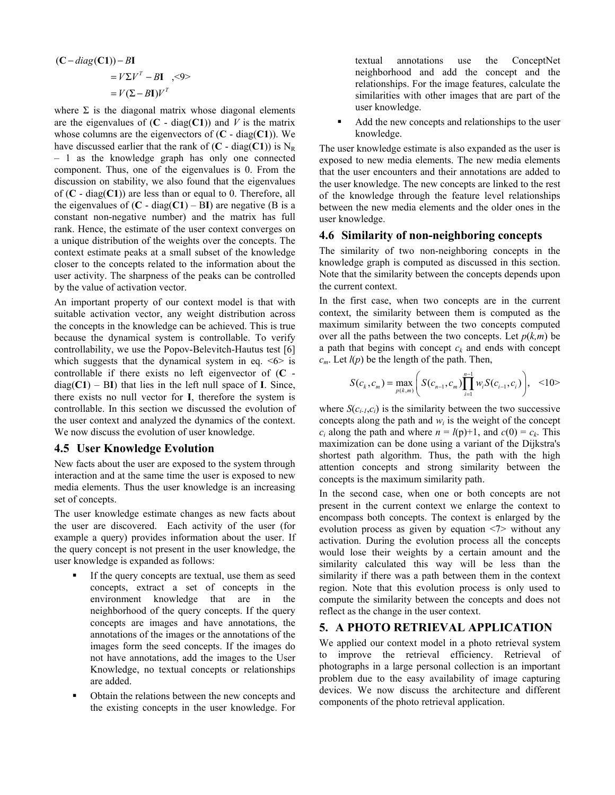$$
(\mathbf{C} - diag(\mathbf{C1})) - B\mathbf{I}
$$
  
=  $V\Sigma V^{T} - B\mathbf{I}$ ,  $\langle 9 \rangle$   
=  $V(\Sigma - B\mathbf{I})V^{T}$ 

where  $\Sigma$  is the diagonal matrix whose diagonal elements are the eigenvalues of  $(C - diag(C1))$  and *V* is the matrix whose columns are the eigenvectors of  $(C - diag(C1))$ . We have discussed earlier that the rank of  $(C - diag(C1))$  is N<sub>R</sub> – 1 as the knowledge graph has only one connected component. Thus, one of the eigenvalues is 0. From the discussion on stability, we also found that the eigenvalues of (**C** - diag(**C1**)) are less than or equal to 0. Therefore, all the eigenvalues of  $(C - diag(C1) - BI)$  are negative (B is a constant non-negative number) and the matrix has full rank. Hence, the estimate of the user context converges on a unique distribution of the weights over the concepts. The context estimate peaks at a small subset of the knowledge closer to the concepts related to the information about the user activity. The sharpness of the peaks can be controlled by the value of activation vector.

An important property of our context model is that with suitable activation vector, any weight distribution across the concepts in the knowledge can be achieved. This is true because the dynamical system is controllable. To verify controllability, we use the Popov-Belevitch-Hautus test [6] which suggests that the dynamical system in eq.  $\leq 6$  is controllable if there exists no left eigenvector of (**C**  $diag(C1) - BI$ ) that lies in the left null space of **I**. Since, there exists no null vector for **I**, therefore the system is controllable. In this section we discussed the evolution of the user context and analyzed the dynamics of the context. We now discuss the evolution of user knowledge.

#### **4.5 User Knowledge Evolution**

New facts about the user are exposed to the system through interaction and at the same time the user is exposed to new media elements. Thus the user knowledge is an increasing set of concepts.

The user knowledge estimate changes as new facts about the user are discovered. Each activity of the user (for example a query) provides information about the user. If the query concept is not present in the user knowledge, the user knowledge is expanded as follows:

- If the query concepts are textual, use them as seed concepts, extract a set of concepts in the environment knowledge that are in the neighborhood of the query concepts. If the query concepts are images and have annotations, the annotations of the images or the annotations of the images form the seed concepts. If the images do not have annotations, add the images to the User Knowledge, no textual concepts or relationships are added.
- Obtain the relations between the new concepts and the existing concepts in the user knowledge. For

textual annotations use the ConceptNet neighborhood and add the concept and the relationships. For the image features, calculate the similarities with other images that are part of the user knowledge.

 Add the new concepts and relationships to the user knowledge.

The user knowledge estimate is also expanded as the user is exposed to new media elements. The new media elements that the user encounters and their annotations are added to the user knowledge. The new concepts are linked to the rest of the knowledge through the feature level relationships between the new media elements and the older ones in the user knowledge.

#### **4.6 Similarity of non-neighboring concepts**

The similarity of two non-neighboring concepts in the knowledge graph is computed as discussed in this section. Note that the similarity between the concepts depends upon the current context.

In the first case, when two concepts are in the current context, the similarity between them is computed as the maximum similarity between the two concepts computed over all the paths between the two concepts. Let  $p(k,m)$  be a path that begins with concept  $c_k$  and ends with concept  $c_m$ . Let  $l(p)$  be the length of the path. Then,

$$
S(c_k, c_m) = \max_{p(k,m)} \left( S(c_{n-1}, c_m) \prod_{i=1}^{n-1} w_i S(c_{i-1}, c_i) \right), \quad \text{<10>
$$

where  $S(c_{i-1}, c_i)$  is the similarity between the two successive concepts along the path and  $w_i$  is the weight of the concept  $c_i$  along the path and where  $n = l(p)+1$ , and  $c(0) = c_k$ . This maximization can be done using a variant of the Dijkstra's shortest path algorithm. Thus, the path with the high attention concepts and strong similarity between the concepts is the maximum similarity path.

In the second case, when one or both concepts are not present in the current context we enlarge the context to encompass both concepts. The context is enlarged by the evolution process as given by equation <7> without any activation. During the evolution process all the concepts would lose their weights by a certain amount and the similarity calculated this way will be less than the similarity if there was a path between them in the context region. Note that this evolution process is only used to compute the similarity between the concepts and does not reflect as the change in the user context.

# **5. A PHOTO RETRIEVAL APPLICATION**

We applied our context model in a photo retrieval system to improve the retrieval efficiency. Retrieval of photographs in a large personal collection is an important problem due to the easy availability of image capturing devices. We now discuss the architecture and different components of the photo retrieval application.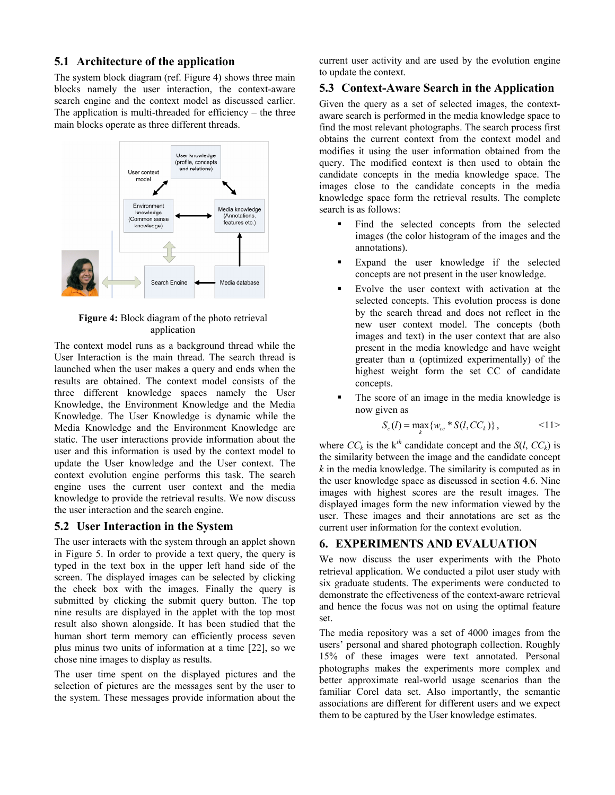### **5.1 Architecture of the application**

The system block diagram (ref. Figure 4) shows three main blocks namely the user interaction, the context-aware search engine and the context model as discussed earlier. The application is multi-threaded for efficiency  $-$  the three main blocks operate as three different threads.



**Figure 4:** Block diagram of the photo retrieval application

The context model runs as a background thread while the User Interaction is the main thread. The search thread is launched when the user makes a query and ends when the results are obtained. The context model consists of the three different knowledge spaces namely the User Knowledge, the Environment Knowledge and the Media Knowledge. The User Knowledge is dynamic while the Media Knowledge and the Environment Knowledge are static. The user interactions provide information about the user and this information is used by the context model to update the User knowledge and the User context. The context evolution engine performs this task. The search engine uses the current user context and the media knowledge to provide the retrieval results. We now discuss the user interaction and the search engine.

### **5.2 User Interaction in the System**

The user interacts with the system through an applet shown in Figure 5. In order to provide a text query, the query is typed in the text box in the upper left hand side of the screen. The displayed images can be selected by clicking the check box with the images. Finally the query is submitted by clicking the submit query button. The top nine results are displayed in the applet with the top most result also shown alongside. It has been studied that the human short term memory can efficiently process seven plus minus two units of information at a time [22], so we chose nine images to display as results.

The user time spent on the displayed pictures and the selection of pictures are the messages sent by the user to the system. These messages provide information about the

current user activity and are used by the evolution engine to update the context.

# **5.3 Context-Aware Search in the Application**

Given the query as a set of selected images, the contextaware search is performed in the media knowledge space to find the most relevant photographs. The search process first obtains the current context from the context model and modifies it using the user information obtained from the query. The modified context is then used to obtain the candidate concepts in the media knowledge space. The images close to the candidate concepts in the media knowledge space form the retrieval results. The complete search is as follows:

- Find the selected concepts from the selected images (the color histogram of the images and the annotations).
- Expand the user knowledge if the selected concepts are not present in the user knowledge.
- Evolve the user context with activation at the selected concepts. This evolution process is done by the search thread and does not reflect in the new user context model. The concepts (both images and text) in the user context that are also present in the media knowledge and have weight greater than  $\alpha$  (optimized experimentally) of the highest weight form the set CC of candidate concepts.
- The score of an image in the media knowledge is now given as

$$
S_c(l) = \max_k \{ w_{cc} * S(l, CC_k) \}, \qquad \qquad \leq l \, l >
$$

where  $CC_k$  is the  $k^{th}$  candidate concept and the  $S(l, CC_k)$  is the similarity between the image and the candidate concept *k* in the media knowledge. The similarity is computed as in the user knowledge space as discussed in section 4.6. Nine images with highest scores are the result images. The displayed images form the new information viewed by the user. These images and their annotations are set as the current user information for the context evolution.

# **6. EXPERIMENTS AND EVALUATION**

We now discuss the user experiments with the Photo retrieval application. We conducted a pilot user study with six graduate students. The experiments were conducted to demonstrate the effectiveness of the context-aware retrieval and hence the focus was not on using the optimal feature set.

The media repository was a set of 4000 images from the users' personal and shared photograph collection. Roughly 15% of these images were text annotated. Personal photographs makes the experiments more complex and better approximate real-world usage scenarios than the familiar Corel data set. Also importantly, the semantic associations are different for different users and we expect them to be captured by the User knowledge estimates.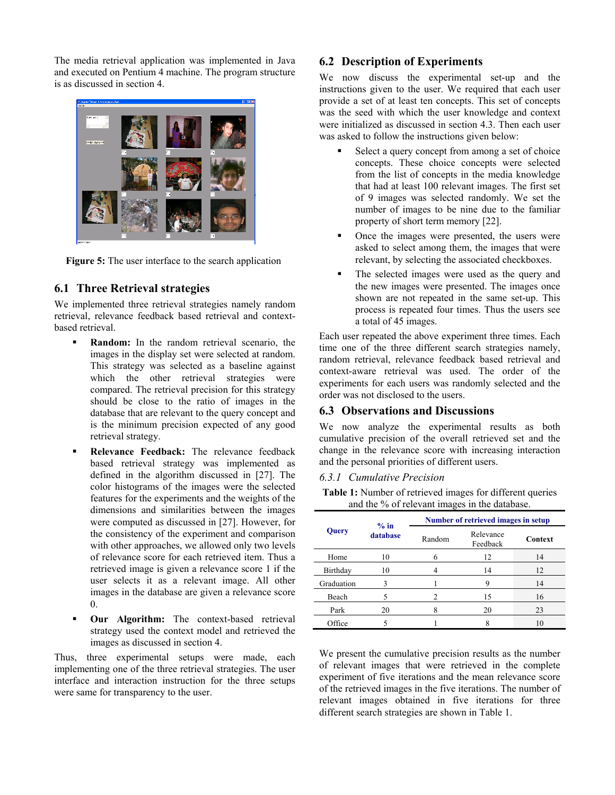The media retrieval application was implemented in Java and executed on Pentium 4 machine. The program structure is as discussed in section 4.



**Figure 5:** The user interface to the search application

# **6.1 Three Retrieval strategies**

We implemented three retrieval strategies namely random retrieval, relevance feedback based retrieval and contextbased retrieval.

- **Random:** In the random retrieval scenario, the images in the display set were selected at random. This strategy was selected as a baseline against which the other retrieval strategies were compared. The retrieval precision for this strategy should be close to the ratio of images in the database that are relevant to the query concept and is the minimum precision expected of any good retrieval strategy.
- **Relevance Feedback:** The relevance feedback based retrieval strategy was implemented as defined in the algorithm discussed in [27]. The color histograms of the images were the selected features for the experiments and the weights of the dimensions and similarities between the images were computed as discussed in [27]. However, for the consistency of the experiment and comparison with other approaches, we allowed only two levels of relevance score for each retrieved item. Thus a retrieved image is given a relevance score 1 if the user selects it as a relevant image. All other images in the database are given a relevance score 0.
- **Our Algorithm:** The context-based retrieval strategy used the context model and retrieved the images as discussed in section 4.

Thus, three experimental setups were made, each implementing one of the three retrieval strategies. The user interface and interaction instruction for the three setups were same for transparency to the user.

## **6.2 Description of Experiments**

We now discuss the experimental set-up and the instructions given to the user. We required that each user provide a set of at least ten concepts. This set of concepts was the seed with which the user knowledge and context were initialized as discussed in section 4.3. Then each user was asked to follow the instructions given below:

- Select a query concept from among a set of choice concepts. These choice concepts were selected from the list of concepts in the media knowledge that had at least 100 relevant images. The first set of 9 images was selected randomly. We set the number of images to be nine due to the familiar property of short term memory [22].
- Once the images were presented, the users were asked to select among them, the images that were relevant, by selecting the associated checkboxes.
- The selected images were used as the query and the new images were presented. The images once shown are not repeated in the same set-up. This process is repeated four times. Thus the users see a total of 45 images.

Each user repeated the above experiment three times. Each time one of the three different search strategies namely, random retrieval, relevance feedback based retrieval and context-aware retrieval was used. The order of the experiments for each users was randomly selected and the order was not disclosed to the users.

#### **6.3 Observations and Discussions**

We now analyze the experimental results as both cumulative precision of the overall retrieved set and the change in the relevance score with increasing interaction and the personal priorities of different users.

#### *6.3.1 Cumulative Precision*

**Table 1:** Number of retrieved images for different queries and the % of relevant images in the database.

| Query      | $%$ in<br>database | Number of retrieved images in setup |                       |         |
|------------|--------------------|-------------------------------------|-----------------------|---------|
|            |                    | Random                              | Relevance<br>Feedback | Context |
| Home       | 10                 | n                                   | 12                    | 14      |
| Birthday   | 10                 |                                     | 14                    | 12      |
| Graduation |                    |                                     |                       | 14      |
| Beach      |                    | 2                                   | 15                    | 16      |
| Park       | 20                 |                                     | 20                    | 23      |
| Office     |                    |                                     |                       | 10      |

We present the cumulative precision results as the number of relevant images that were retrieved in the complete experiment of five iterations and the mean relevance score of the retrieved images in the five iterations. The number of relevant images obtained in five iterations for three different search strategies are shown in Table 1.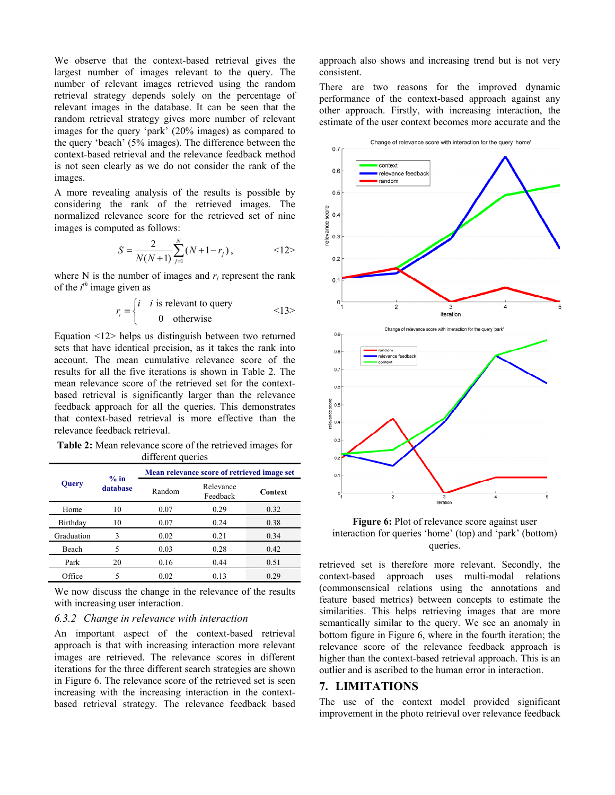We observe that the context-based retrieval gives the largest number of images relevant to the query. The number of relevant images retrieved using the random retrieval strategy depends solely on the percentage of relevant images in the database. It can be seen that the random retrieval strategy gives more number of relevant images for the query 'park' (20% images) as compared to the query 'beach' (5% images). The difference between the context-based retrieval and the relevance feedback method is not seen clearly as we do not consider the rank of the images.

A more revealing analysis of the results is possible by considering the rank of the retrieved images. The normalized relevance score for the retrieved set of nine images is computed as follows:

$$
S = \frac{2}{N(N+1)} \sum_{j=1}^{N} (N+1-r_j), \qquad \qquad <12>
$$

where N is the number of images and  $r_i$  represent the rank of the *i th* image given as

$$
r_i = \begin{cases} i & i \text{ is relevant to query} \\ 0 & \text{otherwise} \end{cases} < 13>
$$

Equation <12> helps us distinguish between two returned sets that have identical precision, as it takes the rank into account. The mean cumulative relevance score of the results for all the five iterations is shown in Table 2. The mean relevance score of the retrieved set for the contextbased retrieval is significantly larger than the relevance feedback approach for all the queries. This demonstrates that context-based retrieval is more effective than the relevance feedback retrieval.

**Table 2:** Mean relevance score of the retrieved images for different queries

| Query      | $%$ in<br>database | Mean relevance score of retrieved image set |                       |         |
|------------|--------------------|---------------------------------------------|-----------------------|---------|
|            |                    | Random                                      | Relevance<br>Feedback | Context |
| Home       | 10                 | 0.07                                        | 0.29                  | 0.32    |
| Birthday   | 10                 | 0.07                                        | 0.24                  | 0.38    |
| Graduation | 3                  | 0.02                                        | 0.21                  | 0.34    |
| Beach      | 5                  | 0.03                                        | 0.28                  | 0.42    |
| Park       | 20                 | 0.16                                        | 0.44                  | 0.51    |
| Office     | 5                  | 0.02                                        | 0.13                  | 0.29    |

We now discuss the change in the relevance of the results with increasing user interaction.

#### *6.3.2 Change in relevance with interaction*

An important aspect of the context-based retrieval approach is that with increasing interaction more relevant images are retrieved. The relevance scores in different iterations for the three different search strategies are shown in Figure 6. The relevance score of the retrieved set is seen increasing with the increasing interaction in the contextbased retrieval strategy. The relevance feedback based

approach also shows and increasing trend but is not very consistent.

There are two reasons for the improved dynamic performance of the context-based approach against any other approach. Firstly, with increasing interaction, the estimate of the user context becomes more accurate and the



**Figure 6:** Plot of relevance score against user interaction for queries 'home' (top) and 'park' (bottom) queries.

retrieved set is therefore more relevant. Secondly, the context-based approach uses multi-modal relations (commonsensical relations using the annotations and feature based metrics) between concepts to estimate the similarities. This helps retrieving images that are more semantically similar to the query. We see an anomaly in bottom figure in Figure 6, where in the fourth iteration; the relevance score of the relevance feedback approach is higher than the context-based retrieval approach. This is an outlier and is ascribed to the human error in interaction.

# **7. LIMITATIONS**

The use of the context model provided significant improvement in the photo retrieval over relevance feedback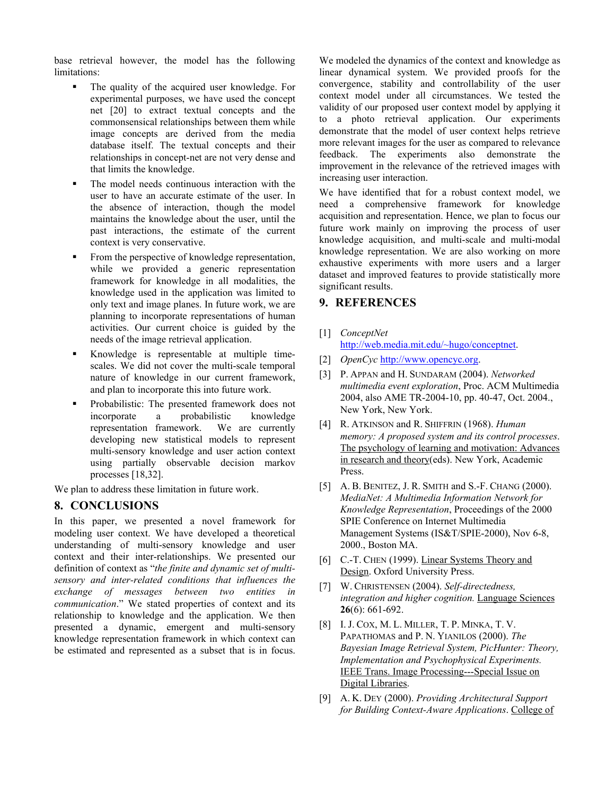base retrieval however, the model has the following limitations:

- The quality of the acquired user knowledge. For experimental purposes, we have used the concept net [20] to extract textual concepts and the commonsensical relationships between them while image concepts are derived from the media database itself. The textual concepts and their relationships in concept-net are not very dense and that limits the knowledge.
- The model needs continuous interaction with the user to have an accurate estimate of the user. In the absence of interaction, though the model maintains the knowledge about the user, until the past interactions, the estimate of the current context is very conservative.
- From the perspective of knowledge representation, while we provided a generic representation framework for knowledge in all modalities, the knowledge used in the application was limited to only text and image planes. In future work, we are planning to incorporate representations of human activities. Our current choice is guided by the needs of the image retrieval application.
- Knowledge is representable at multiple timescales. We did not cover the multi-scale temporal nature of knowledge in our current framework, and plan to incorporate this into future work.
- Probabilistic: The presented framework does not incorporate a probabilistic knowledge representation framework. We are currently developing new statistical models to represent multi-sensory knowledge and user action context using partially observable decision markov processes [18,32].

We plan to address these limitation in future work.

#### **8. CONCLUSIONS**

In this paper, we presented a novel framework for modeling user context. We have developed a theoretical understanding of multi-sensory knowledge and user context and their inter-relationships. We presented our definition of context as "*the finite and dynamic set of multisensory and inter-related conditions that influences the exchange of messages between two entities in communication*." We stated properties of context and its relationship to knowledge and the application. We then presented a dynamic, emergent and multi-sensory knowledge representation framework in which context can be estimated and represented as a subset that is in focus.

We modeled the dynamics of the context and knowledge as linear dynamical system. We provided proofs for the convergence, stability and controllability of the user context model under all circumstances. We tested the validity of our proposed user context model by applying it to a photo retrieval application. Our experiments demonstrate that the model of user context helps retrieve more relevant images for the user as compared to relevance feedback. The experiments also demonstrate the improvement in the relevance of the retrieved images with increasing user interaction.

We have identified that for a robust context model, we need a comprehensive framework for knowledge acquisition and representation. Hence, we plan to focus our future work mainly on improving the process of user knowledge acquisition, and multi-scale and multi-modal knowledge representation. We are also working on more exhaustive experiments with more users and a larger dataset and improved features to provide statistically more significant results.

### **9. REFERENCES**

- [1] *ConceptNet* http://web.media.mit.edu/~hugo/conceptnet.
- [2] *OpenCyc* http://www.opencyc.org.
- [3] P. APPAN and H. SUNDARAM (2004). *Networked multimedia event exploration*, Proc. ACM Multimedia 2004, also AME TR-2004-10, pp. 40-47, Oct. 2004., New York, New York.
- [4] R. ATKINSON and R. SHIFFRIN (1968). *Human memory: A proposed system and its control processes*. The psychology of learning and motivation: Advances in research and theory(eds). New York, Academic Press.
- [5] A. B. BENITEZ, J. R. SMITH and S.-F. CHANG (2000). *MediaNet: A Multimedia Information Network for Knowledge Representation*, Proceedings of the 2000 SPIE Conference on Internet Multimedia Management Systems (IS&T/SPIE-2000), Nov 6-8, 2000., Boston MA.
- [6] C.-T. CHEN (1999). Linear Systems Theory and Design. Oxford University Press.
- [7] W. CHRISTENSEN (2004). *Self-directedness, integration and higher cognition.* Language Sciences **26**(6): 661-692.
- [8] I. J. COX, M. L. MILLER, T. P. MINKA, T. V. PAPATHOMAS and P. N. YIANILOS (2000). *The Bayesian Image Retrieval System, PicHunter: Theory, Implementation and Psychophysical Experiments.* IEEE Trans. Image Processing---Special Issue on Digital Libraries.
- [9] A. K. DEY (2000). *Providing Architectural Support for Building Context-Aware Applications*. College of